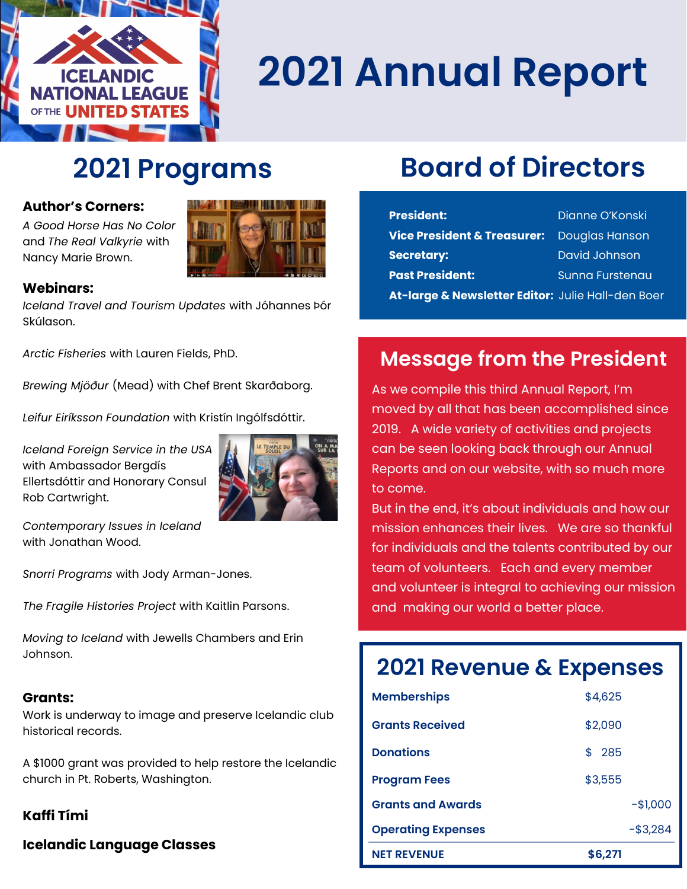

# **2021 Annual Report**

## **2021 Programs**

A Good Horse Has No Color **A Great programming programming** and and *The Real Valkyrie w*ith Nancy Marie Brown. **Thank you are to be a talent with a state of the state of the state of the state of the state of the state of the state of the state of the state of the state of the state of the state of the state of t** 



#### **the make it all possible it all possible it all possible it all possible it all possible it all possible it all possible it all possible it all possible it all possible it all possible it all possible it all possible it a**

*Iceland Travel and Tourism Updates* with Jóhannes Þór Skúlason.

*Arctic Fisheries* with Lauren Fields, PhD.

*Brewing Mjöður* (Mead) with Chef Brent Skarðaborg.

*Leifur Eiríksson Foundation* with Kristín Ingólfsdóttir.

*Iceland Foreign Service in the USA*  with Ambassador Bergdís Ellertsdóttir and Honorary Consul Rob Cartwright.



*Contemporary Issues in Iceland*  with Jonathan Wood.

*Snorri Programs* with Jody Arman-Jones.

*The Fragile Histories Project* with Kaitlin Parsons.

*Moving to Iceland* with Jewells Chambers and Erin Johnson.

#### **Grants:**

Work is underway to image and preserve Icelandic club historical records.

A \$1000 grant was provided to help restore the Icelandic church in Pt. Roberts, Washington.

#### **Kaffi Tími**

**Icelandic Language Classes**

### **Board of Directors**

| <b>President:</b>                                 | Dianne O'Konski       |
|---------------------------------------------------|-----------------------|
| <b>Vice President &amp; Treasurer:</b>            | <b>Douglas Hanson</b> |
| <b>Secretary:</b>                                 | David Johnson         |
| <b>Past President:</b>                            | Sunna Furstenau       |
| At-large & Newsletter Editor: Julie Hall-den Boer |                       |

### **Message from the President**

As we compile this third Annual Report, I'm moved by all that has been accomplished since 2019. A wide variety of activities and projects can be seen looking back through our Annual Reports and on our website, with so much more to come.

But in the end, it's about individuals and how our mission enhances their lives. We are so thankful for individuals and the talents contributed by our team of volunteers. Each and every member and volunteer is integral to achieving our mission and making our world a better place.

### **2021 Revenue & Expenses**

| <b>NET REVENUE</b>        | \$6,271     |
|---------------------------|-------------|
| <b>Operating Expenses</b> | $-$ \$3,284 |
| <b>Grants and Awards</b>  | $-$1,000$   |
| <b>Program Fees</b>       | \$3,555     |
| <b>Donations</b>          | \$ 285      |
| <b>Grants Received</b>    | \$2,090     |
| <b>Memberships</b>        | \$4,625     |